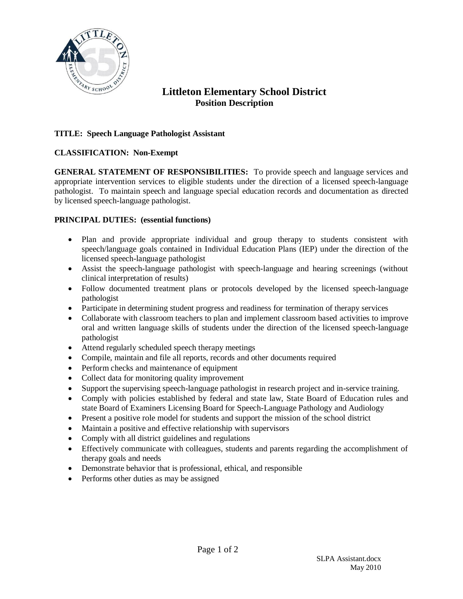

# **Littleton Elementary School District Position Description**

### **TITLE: Speech Language Pathologist Assistant**

## **CLASSIFICATION: Non-Exempt**

**GENERAL STATEMENT OF RESPONSIBILITIES:** To provide speech and language services and appropriate intervention services to eligible students under the direction of a licensed speech-language pathologist. To maintain speech and language special education records and documentation as directed by licensed speech-language pathologist.

### **PRINCIPAL DUTIES: (essential functions)**

- Plan and provide appropriate individual and group therapy to students consistent with speech/language goals contained in Individual Education Plans (IEP) under the direction of the licensed speech-language pathologist
- Assist the speech-language pathologist with speech-language and hearing screenings (without clinical interpretation of results)
- Follow documented treatment plans or protocols developed by the licensed speech-language pathologist
- Participate in determining student progress and readiness for termination of therapy services
- Collaborate with classroom teachers to plan and implement classroom based activities to improve oral and written language skills of students under the direction of the licensed speech-language pathologist
- Attend regularly scheduled speech therapy meetings
- Compile, maintain and file all reports, records and other documents required
- Perform checks and maintenance of equipment
- Collect data for monitoring quality improvement
- Support the supervising speech-language pathologist in research project and in-service training.
- Comply with policies established by federal and state law, State Board of Education rules and state Board of Examiners Licensing Board for Speech-Language Pathology and Audiology
- Present a positive role model for students and support the mission of the school district
- Maintain a positive and effective relationship with supervisors
- Comply with all district guidelines and regulations
- Effectively communicate with colleagues, students and parents regarding the accomplishment of therapy goals and needs
- Demonstrate behavior that is professional, ethical, and responsible
- Performs other duties as may be assigned